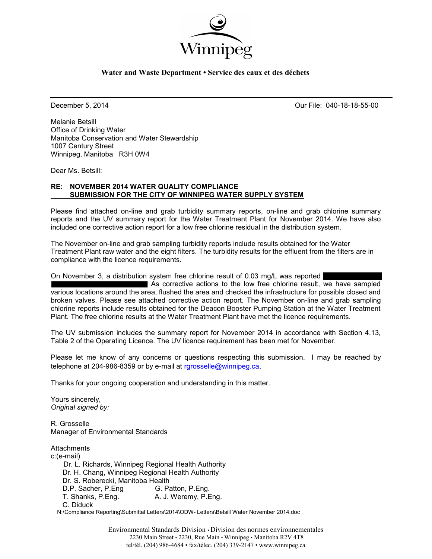

### **Water and Waste Department • Service des eaux et des déchets**

December 5, 2014 Our File: 040-18-18-55-00

Melanie Betsill Office of Drinking Water Manitoba Conservation and Water Stewardship 1007 Century Street Winnipeg, Manitoba R3H 0W4

Dear Ms. Betsill:

### **RE: NOVEMBER 2014 WATER QUALITY COMPLIANCE SUBMISSION FOR THE CITY OF WINNIPEG WATER SUPPLY SYSTEM**

Please find attached on-line and grab turbidity summary reports, on-line and grab chlorine summary reports and the UV summary report for the Water Treatment Plant for November 2014. We have also included one corrective action report for a low free chlorine residual in the distribution system.

The November on-line and grab sampling turbidity reports include results obtained for the Water Treatment Plant raw water and the eight filters. The turbidity results for the effluent from the filters are in compliance with the licence requirements.

On November 3, a distribution system free chlorine result of 0.03 mg/L was reported  $\blacksquare$  As corrective actions to the low free chlorine result, we have sampled various locations around the area, flushed the area and checked the infrastructure for possible closed and broken valves. Please see attached corrective action report. The November on-line and grab sampling chlorine reports include results obtained for the Deacon Booster Pumping Station at the Water Treatment Plant. The free chlorine results at the Water Treatment Plant have met the licence requirements.

The UV submission includes the summary report for November 2014 in accordance with Section 4.13, Table 2 of the Operating Licence. The UV licence requirement has been met for November.

Please let me know of any concerns or questions respecting this submission. I may be reached by telephone at 204-986-8359 or by e-mail at [rgrosselle@winnipeg.ca](mailto:rgrosselle@winnipeg.ca).

Thanks for your ongoing cooperation and understanding in this matter.

Yours sincerely, *Original signed by:* 

R. Grosselle Manager of Environmental Standards

**Attachments** c:(e-mail) Dr. L. Richards, Winnipeg Regional Health Authority Dr. H. Chang, Winnipeg Regional Health Authority Dr. S. Roberecki, Manitoba Health D.P. Sacher, P.Eng G. Patton, P.Eng. T. Shanks, P.Eng. A. J. Weremy, P.Eng. C. Diduck

N:\Compliance Reporting\Submittal Letters\2014\ODW- Letters\Betsill Water November 2014.doc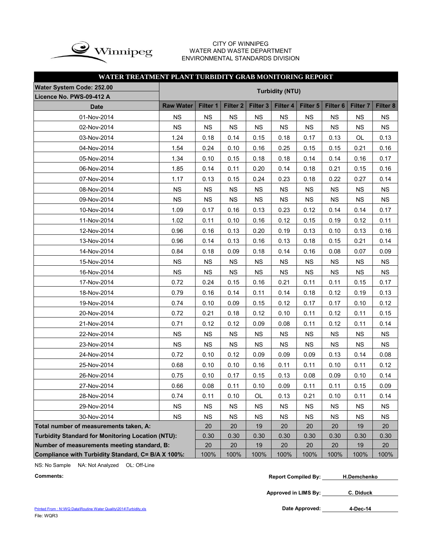

#### CITY OF WINNIPEG WATER AND WASTE DEPARTMENT ENVIRONMENTAL STANDARDS DIVISION

### **WATER TREATMENT PLANT TURBIDITY GRAB MONITORING REPORT**

| <b>Water System Code: 252.00</b>                         |                  |           |                     |                     |                        |           |                     |                 |           |
|----------------------------------------------------------|------------------|-----------|---------------------|---------------------|------------------------|-----------|---------------------|-----------------|-----------|
| Licence No. PWS-09-412 A                                 |                  |           |                     |                     | <b>Turbidity (NTU)</b> |           |                     |                 |           |
| <b>Date</b>                                              | <b>Raw Water</b> | Filter 1  | Filter <sub>2</sub> | Filter <sub>3</sub> | Filter 4               | Filter 5  | Filter <sub>6</sub> | <b>Filter 7</b> | Filter 8  |
| 01-Nov-2014                                              | <b>NS</b>        | <b>NS</b> | NS                  | <b>NS</b>           | <b>NS</b>              | <b>NS</b> | <b>NS</b>           | <b>NS</b>       | NS        |
| 02-Nov-2014                                              | <b>NS</b>        | <b>NS</b> | <b>NS</b>           | <b>NS</b>           | <b>NS</b>              | <b>NS</b> | <b>NS</b>           | <b>NS</b>       | <b>NS</b> |
| 03-Nov-2014                                              | 1.24             | 0.18      | 0.14                | 0.15                | 0.18                   | 0.17      | 0.13                | OL              | 0.13      |
| 04-Nov-2014                                              | 1.54             | 0.24      | 0.10                | 0.16                | 0.25                   | 0.15      | 0.15                | 0.21            | 0.16      |
| 05-Nov-2014                                              | 1.34             | 0.10      | 0.15                | 0.18                | 0.18                   | 0.14      | 0.14                | 0.16            | 0.17      |
| 06-Nov-2014                                              | 1.85             | 0.14      | 0.11                | 0.20                | 0.14                   | 0.18      | 0.21                | 0.15            | 0.16      |
| 07-Nov-2014                                              | 1.17             | 0.13      | 0.15                | 0.24                | 0.23                   | 0.18      | 0.22                | 0.27            | 0.14      |
| 08-Nov-2014                                              | NS               | <b>NS</b> | <b>NS</b>           | <b>NS</b>           | <b>NS</b>              | NS        | <b>NS</b>           | <b>NS</b>       | <b>NS</b> |
| 09-Nov-2014                                              | <b>NS</b>        | <b>NS</b> | <b>NS</b>           | <b>NS</b>           | <b>NS</b>              | <b>NS</b> | <b>NS</b>           | <b>NS</b>       | <b>NS</b> |
| 10-Nov-2014                                              | 1.09             | 0.17      | 0.16                | 0.13                | 0.23                   | 0.12      | 0.14                | 0.14            | 0.17      |
| 11-Nov-2014                                              | 1.02             | 0.11      | 0.10                | 0.16                | 0.12                   | 0.15      | 0.19                | 0.12            | 0.11      |
| 12-Nov-2014                                              | 0.96             | 0.16      | 0.13                | 0.20                | 0.19                   | 0.13      | 0.10                | 0.13            | 0.16      |
| 13-Nov-2014                                              | 0.96             | 0.14      | 0.13                | 0.16                | 0.13                   | 0.18      | 0.15                | 0.21            | 0.14      |
| 14-Nov-2014                                              | 0.84             | 0.18      | 0.09                | 0.18                | 0.14                   | 0.16      | 0.08                | 0.07            | 0.09      |
| 15-Nov-2014                                              | <b>NS</b>        | NS        | <b>NS</b>           | <b>NS</b>           | <b>NS</b>              | <b>NS</b> | <b>NS</b>           | <b>NS</b>       | <b>NS</b> |
| 16-Nov-2014                                              | NS               | <b>NS</b> | <b>NS</b>           | <b>NS</b>           | <b>NS</b>              | <b>NS</b> | <b>NS</b>           | <b>NS</b>       | <b>NS</b> |
| 17-Nov-2014                                              | 0.72             | 0.24      | 0.15                | 0.16                | 0.21                   | 0.11      | 0.11                | 0.15            | 0.17      |
| 18-Nov-2014                                              | 0.79             | 0.16      | 0.14                | 0.11                | 0.14                   | 0.18      | 0.12                | 0.19            | 0.13      |
| 19-Nov-2014                                              | 0.74             | 0.10      | 0.09                | 0.15                | 0.12                   | 0.17      | 0.17                | 0.10            | 0.12      |
| 20-Nov-2014                                              | 0.72             | 0.21      | 0.18                | 0.12                | 0.10                   | 0.11      | 0.12                | 0.11            | 0.15      |
| 21-Nov-2014                                              | 0.71             | 0.12      | 0.12                | 0.09                | 0.08                   | 0.11      | 0.12                | 0.11            | 0.14      |
| 22-Nov-2014                                              | <b>NS</b>        | <b>NS</b> | <b>NS</b>           | <b>NS</b>           | <b>NS</b>              | <b>NS</b> | <b>NS</b>           | <b>NS</b>       | <b>NS</b> |
| 23-Nov-2014                                              | <b>NS</b>        | <b>NS</b> | <b>NS</b>           | <b>NS</b>           | <b>NS</b>              | <b>NS</b> | <b>NS</b>           | <b>NS</b>       | <b>NS</b> |
| 24-Nov-2014                                              | 0.72             | 0.10      | 0.12                | 0.09                | 0.09                   | 0.09      | 0.13                | 0.14            | 0.08      |
| 25-Nov-2014                                              | 0.68             | 0.10      | 0.10                | 0.16                | 0.11                   | 0.11      | 0.10                | 0.11            | 0.12      |
| 26-Nov-2014                                              | 0.75             | 0.10      | 0.17                | 0.15                | 0.13                   | 0.08      | 0.09                | 0.10            | 0.14      |
| 27-Nov-2014                                              | 0.66             | 0.08      | 0.11                | 0.10                | 0.09                   | 0.11      | 0.11                | 0.15            | 0.09      |
| 28-Nov-2014                                              | 0.74             | 0.11      | 0.10                | OL                  | 0.13                   | 0.21      | 0.10                | 0.11            | 0.14      |
| 29-Nov-2014                                              | <b>NS</b>        | <b>NS</b> | <b>NS</b>           | <b>NS</b>           | <b>NS</b>              | <b>NS</b> | <b>NS</b>           | <b>NS</b>       | <b>NS</b> |
| 30-Nov-2014                                              | <b>NS</b>        | <b>NS</b> | <b>NS</b>           | <b>NS</b>           | <b>NS</b>              | <b>NS</b> | <b>NS</b>           | <b>NS</b>       | <b>NS</b> |
| Total number of measurements taken, A:                   |                  | 20        | 20                  | 19                  | 20                     | 20        | 20                  | 19              | 20        |
| <b>Turbidity Standard for Monitoring Location (NTU):</b> | 0.30             | 0.30      | 0.30                | 0.30                | 0.30                   | 0.30      | 0.30                | 0.30            |           |
| Number of measurements meeting standard, B:              |                  | 20        | 20                  | 19                  | 20                     | 20        | 20                  | 19              | 20        |
| Compliance with Turbidity Standard, C= B/A X 100%:       |                  | 100%      | 100%                | 100%                | 100%                   | 100%      | 100%                | 100%            | 100%      |

NS: No Sample NA: Not Analyzed OL: Off-Line

**Approved in LIMS By: C. Diduck**

[Printed From : N:\WQ Data\Routine Water Quality\2014\Turbidity.xls](C:/Documents and Settings/rgrossel/Local Settings/Temporary Internet Files/OLK13/Turbidity 2010.xls) File: WQR3

Date Approved: 4-Dec-14

**Comments: Report Compiled By: H.Demchenko**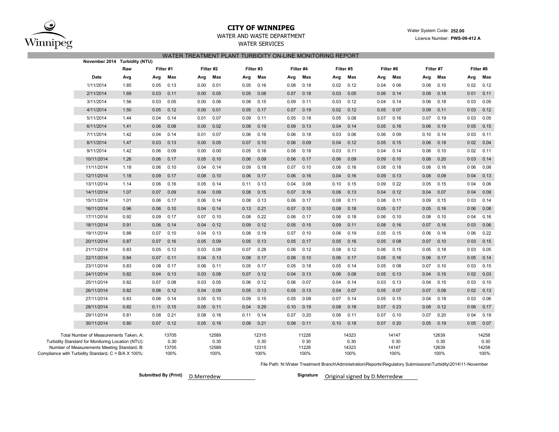

# **CITY OF WINNIPEG** WATER WATER WATER WATER System Code: 252.00

### WATER AND WASTE DEPARTMENT **Example 2018** Material Model 2018 Material Muslim Code: 202.00

WATER SERVICES

| WATER TREATMENT PLANT TURBIDITY ON-LINE MONITORING REPORT |  |  |
|-----------------------------------------------------------|--|--|
|                                                           |  |  |

| November 2014 Turbidity (NTU)                                                                      |      |      |               |      |               |      |               |      |               |      |               |      |               |      |               |       |               |
|----------------------------------------------------------------------------------------------------|------|------|---------------|------|---------------|------|---------------|------|---------------|------|---------------|------|---------------|------|---------------|-------|---------------|
|                                                                                                    | Raw  |      | Filter #1     |      | Filter #2     |      | Filter #3     |      | Filter #4     |      | Filter #5     |      | Filter #6     |      | Filter #7     |       | Filter #8     |
| Date                                                                                               | Avg  | Avg  | Max           | Avg  | Max           | Avg  | Max           | Avg  | Max           | Avg  | Max           | Avg  | Max           | Avg  | Max           | Avg   | Max           |
| 1/11/2014                                                                                          | 1.85 | 0.05 | 0.13          | 0.00 | 0.01          | 0.05 | 0.16          | 0.08 | 0.18          | 0.02 | 0.12          | 0.04 | 0 0 6         | 0.08 | 0.10          | 002   | 0.12          |
| 2/11/2014                                                                                          | 1.69 | 0.03 | 0.11          | 0.00 | 0.05          | 0.05 | 0.08          | 0.07 | 0.18          | 0.03 | 0.05          | 0.06 | 0.14          | 0.08 | 0.18          | 001   | 0.11          |
| 3/11/2014                                                                                          | 1.56 | 0.03 | 0.05          | 0.00 | 0.06          | 0.08 | 0.15          | 0.09 | 0.11          | 0.03 | 0.12          | 0.04 | 0.14          | 0.06 | 0.18          | 003   | 0.05          |
| 4/11/2014                                                                                          | 1.50 | 0.05 | 0.12          | 0.00 | 0.01          | 0.05 | 0.17          | 0.07 | 0.19          | 0.02 | 0.12          | 0.05 | 007           | 0.09 | 0.11          | 003   | 0.12          |
| 5/11/2014                                                                                          | 1.44 | 0.04 | 0.14          | 0.01 | 0.07          | 0.09 | 0.11          | 0.05 | 0.18          | 0.05 | 0.08          | 0.07 | 0.16          | 0.07 | 0.19          | 003   | 0.05          |
| 6/11/2014                                                                                          | 1.41 | 0.06 | 0.08          | 0.00 | 0.02          | 0.08 | 0.19          | 0.09 | 0.13          | 0.04 | 0.14          | 0.05 | 0.16          | 0.06 | 0.19          | 0 0 5 | 0.15          |
| 7/11/2014                                                                                          | 1.42 | 0.04 | 0.14          | 0.01 | 0.07          | 0.06 | 0.16          | 0.06 | 0.18          | 0.03 | 0.06          | 0.06 | 009           | 0.10 | 0.14          | 003   | 0.11          |
| 8/11/2014                                                                                          | 1.47 | 0.03 | 0.13          | 0.00 | 0.05          | 0.07 | 0.10          | 0.06 | 0.09          | 0.04 | 0.12          | 0.05 | 0.15          | 0.06 | 0.18          | 002   | 0.04          |
| 9/11/2014                                                                                          | 1.42 | 0.06 | 0.09          | 0.00 | 0.00          | 0.05 | 0.16          | 0.08 | 0.18          | 0.03 | 0.11          | 0.04 | 0.14          | 0.06 | 0.10          | 002   | 0.11          |
| 10/11/2014                                                                                         | 1.26 | 0.06 | 0.17          | 0.05 | 0.10          | 0.06 | 0.09          | 0.06 | 0.17          | 0.06 | 0.09          | 0.09 | 0.10          | 0.08 | 0.20          | 0 0 3 | 0.14          |
| 11/11/2014                                                                                         | 1.18 | 0.06 | 0.10          | 0.04 | 0.14          | 0.09 | 0.18          | 0.07 | 0.10          | 0.06 | 0.16          | 0.08 | 0.18          | 0.06 | 0.16          | 006   | 0.08          |
| 12/11/2014                                                                                         | 1.18 | 0.09 | 0.17          | 0.08 | 0.10          | 0.06 | 0.17          | 0.06 | 0.16          | 0.04 | 0.16          | 0.09 | 0.13          | 0.08 | 0.09          | 004   | 0.13          |
| 13/11/2014                                                                                         | 1.14 | 0.06 | 0.16          | 0.05 | 0.14          | 0.11 | 0.13          | 0.04 | 0.08          | 0.10 | 0.15          | 0.09 | 022           | 0.05 | 0.15          | 004   | 0.06          |
| 14/11/2014                                                                                         | 1.07 | 0.07 | 0.09          | 0.04 | 0.09          | 0.08 | 0.15          | 0.07 | 0.16          | 0.06 | 0.13          | 0.04 | 0.12          | 0.04 | 0.07          | 004   | 0.09          |
| 15/11/2014                                                                                         | 1.01 | 0.06 | 0.17          | 0.06 | 0.14          | 0.08 | 0.13          | 0.06 | 0.17          | 0.08 | 0.11          | 0.08 | 0.11          | 0.09 | 0.15          | 003   | 0.14          |
| 16/11/2014                                                                                         | 0.96 | 0.06 | 0.10          | 0.04 | 0.14          | 0.13 | 0.21          | 0.07 | 0.10          | 0.08 | 0.18          | 0.05 | 0.17          | 0.05 | 0.16          | 006   | 0.08          |
| 17/11/2014                                                                                         | 0.92 | 0.09 | 0.17          | 0.07 | 0.10          | 0.08 | 0.22          | 0.06 | 0.17          | 0.06 | 0.18          | 0.06 | 0.10          | 0.08 | 0.10          | 0 0 4 | 0.16          |
| 18/11/2014                                                                                         | 0.91 | 0.06 | 0.14          | 0.04 | 0.12          | 0.09 | 0.12          | 0.05 | 0.15          | 0.09 | 0.11          | 0.08 | 0.16          | 0.07 | 0.16          | 0 0 3 | 0.06          |
| 19/11/2014                                                                                         | 0.88 | 0.07 | 0.10          | 0.04 | 0.13          | 0.08 | 0.19          | 0.07 | 0.10          | 0.06 | 0.19          | 0.05 | 0.15          | 0.06 | 0.16          | 006   | 0.22          |
| 20/11/2014                                                                                         | 0.87 | 0.07 | 0.16          | 0.05 | 0.09          | 0.05 | 0.13          | 0.05 | 0.17          | 0.05 | 0.16          | 0.05 | 008           | 0.07 | 0.10          | 003   | 0.15          |
| 21/11/2014                                                                                         | 0.83 | 0.05 | 0.12          | 0.03 | 0.09          | 0.07 | 0.28          | 0.06 | 0.12          | 0.08 | 0.12          | 0.06 | 0.15          | 0.05 | 0.18          | 003   | 0.05          |
| 22/11/2014                                                                                         | 0.84 | 0.07 | 0.11          | 0.04 | 0.13          | 0.08 | 0.17          | 0.08 | 0.10          | 0.06 | 0.17          | 0.05 | 0.16          | 0.06 | 0.17          | 0 0 5 | 0.14          |
| 23/11/2014                                                                                         | 0.83 | 0.08 | 0.17          | 0.06 | 0.11          | 0.05 | 0.17          | 0.05 | 0.18          | 0.05 | 0.14          | 0.05 | 008           | 0.07 | 0.10          | 003   | 0.15          |
| 24/11/2014                                                                                         | 0.82 | 0.04 | 0.13          | 0.03 | 0.08          | 0.07 | 0.12          | 0.04 | 0.13          | 0.06 | 0.08          | 0.05 | 0.13          | 0.04 | 0.15          | 002   | 0.03          |
| 25/11/2014                                                                                         | 0.82 | 0.07 | 0.08          | 0.03 | 0.05          | 0.06 | 0.12          | 0.06 | 0.07          | 0.04 | 0.14          | 0.03 | 0.13          | 0.04 | 0.15          | 003   | 0.10          |
| 26/11/2014                                                                                         | 0.82 | 0.06 | 0.12          | 0.04 | 0.09          | 0.05 | 0.13          | 0.05 | 0.13          | 0.04 | 0.07          | 0.05 | 007           | 0.07 | 0.08          | 002   | 0.13          |
| 27/11/2014                                                                                         | 0.83 | 0.06 | 0.14          | 0.05 | 0.10          | 0.09 | 0.15          | 0.05 | 0.08          | 0.07 | 0.14          | 0.05 | 0.15          | 0.04 | 0.18          | 003   | 0.06          |
| 28/11/2014                                                                                         | 0.82 | 0.11 | 0.15          | 0.05 | 0.11          | 0.04 | 0.29          | 0.10 | 0.19          | 0.08 | 0.18          | 0.07 | 0 2 3         | 0.08 | 0.12          | 006   | 0.17          |
| 29/11/2014                                                                                         | 0.81 | 0.08 | 0.21          | 0.08 | 0.16          | 0.11 | 0.14          | 0.07 | 0.20          | 0.06 | 0.11          | 0.07 | 0.10          | 0.07 | 0.20          | 004   | 0.19          |
| 30/11/2014                                                                                         | 0.80 | 0.07 | 0.12          | 0.05 | 0.16          | 0.08 | 0.21          | 0.08 | 0.11          | 0.10 | 0.18          | 0.07 | 020           | 0.05 | 0.19          | 0 0 5 | 0.07          |
| Total Number of Measurements Taken, A:                                                             |      |      | 13705         |      | 12589         |      | 12315         |      | 11228         |      | 14323         |      | 14147         |      | 12639         |       | 14258         |
| Turbidity Standard for Monitoring Location (NTU):                                                  |      |      | 0.30          |      | 0.30<br>12589 |      | 0.30<br>12315 |      | 0 30<br>11228 |      | 0.30<br>14323 |      | 0 30          |      | 0.30<br>12639 |       | 0.30<br>14258 |
| Number of Measurements Meeting Standard, B:<br>Compliance with Turbidity Standard, C = B/A X 100%: |      |      | 13705<br>100% |      | 100%          |      | 100%          |      | 100%          |      | 100%          |      | 14147<br>100% |      | 100%          |       | 100%          |

File Path: N:\Water Treatment Branch\Administration\Reports\Regulatory Submissions\Turbidity\2014\11-November

**Submitted By (Print) D.Merredew** 

Signature Original signed by D.Merredew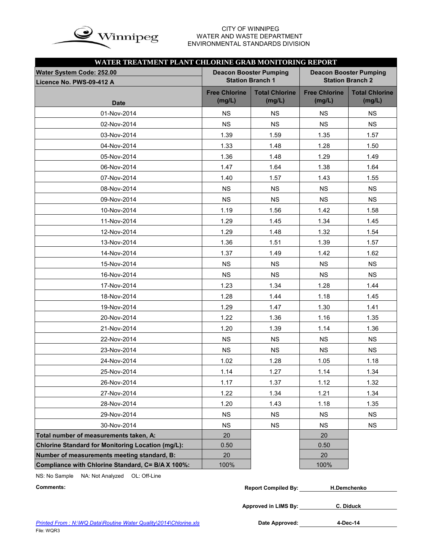

# WATER AND WASTE DEPARTMENT ENVIRONMENTAL STANDARDS DIVISION

| WATER TREATMENT PLANT CHLORINE GRAB MONITORING REPORT |                                |                                 |                                |                                 |  |  |  |  |  |  |  |  |
|-------------------------------------------------------|--------------------------------|---------------------------------|--------------------------------|---------------------------------|--|--|--|--|--|--|--|--|
| <b>Water System Code: 252.00</b>                      |                                | <b>Deacon Booster Pumping</b>   | <b>Deacon Booster Pumping</b>  |                                 |  |  |  |  |  |  |  |  |
| Licence No. PWS-09-412 A                              |                                | <b>Station Branch 1</b>         |                                | <b>Station Branch 2</b>         |  |  |  |  |  |  |  |  |
| <b>Date</b>                                           | <b>Free Chlorine</b><br>(mg/L) | <b>Total Chlorine</b><br>(mg/L) | <b>Free Chlorine</b><br>(mg/L) | <b>Total Chlorine</b><br>(mg/L) |  |  |  |  |  |  |  |  |
| 01-Nov-2014                                           | <b>NS</b>                      | <b>NS</b>                       | <b>NS</b>                      | <b>NS</b>                       |  |  |  |  |  |  |  |  |
| 02-Nov-2014                                           | <b>NS</b>                      | <b>NS</b>                       | <b>NS</b>                      | <b>NS</b>                       |  |  |  |  |  |  |  |  |
| 03-Nov-2014                                           | 1.39                           | 1.59                            | 1.35                           | 1.57                            |  |  |  |  |  |  |  |  |
| 04-Nov-2014                                           | 1.33                           | 1.48                            | 1.28                           | 1.50                            |  |  |  |  |  |  |  |  |
| 05-Nov-2014                                           | 1.36                           | 1.48                            | 1.29                           | 1.49                            |  |  |  |  |  |  |  |  |
| 06-Nov-2014                                           | 1.47                           | 1.64                            | 1.38                           | 1.64                            |  |  |  |  |  |  |  |  |
| 07-Nov-2014                                           | 1.40                           | 1.57                            | 1.43                           | 1.55                            |  |  |  |  |  |  |  |  |
| 08-Nov-2014                                           | <b>NS</b>                      | <b>NS</b>                       | <b>NS</b>                      | <b>NS</b>                       |  |  |  |  |  |  |  |  |
| 09-Nov-2014                                           | <b>NS</b>                      | <b>NS</b>                       | <b>NS</b>                      | <b>NS</b>                       |  |  |  |  |  |  |  |  |
| 10-Nov-2014                                           | 1.19                           | 1.56                            | 1.42                           | 1.58                            |  |  |  |  |  |  |  |  |
| 11-Nov-2014                                           | 1.29                           | 1.45                            | 1.34                           | 1.45                            |  |  |  |  |  |  |  |  |
| 12-Nov-2014                                           | 1.29                           | 1.48                            | 1.32                           | 1.54                            |  |  |  |  |  |  |  |  |
| 13-Nov-2014                                           | 1.36                           | 1.51                            | 1.39                           | 1.57                            |  |  |  |  |  |  |  |  |
| 14-Nov-2014                                           | 1.37                           | 1.49                            | 1.42                           | 1.62                            |  |  |  |  |  |  |  |  |
| 15-Nov-2014                                           | <b>NS</b>                      | <b>NS</b>                       | <b>NS</b>                      | <b>NS</b>                       |  |  |  |  |  |  |  |  |
| 16-Nov-2014                                           | <b>NS</b>                      | <b>NS</b>                       | <b>NS</b>                      | <b>NS</b>                       |  |  |  |  |  |  |  |  |
| 17-Nov-2014                                           | 1.23                           | 1.34                            | 1.28                           | 1.44                            |  |  |  |  |  |  |  |  |
| 18-Nov-2014                                           | 1.28                           | 1.44                            | 1.18                           | 1.45                            |  |  |  |  |  |  |  |  |
| 19-Nov-2014                                           | 1.29                           | 1.47                            | 1.30                           | 1.41                            |  |  |  |  |  |  |  |  |
| 20-Nov-2014                                           | 1.22                           | 1.36                            | 1.16                           | 1.35                            |  |  |  |  |  |  |  |  |
| 21-Nov-2014                                           | 1.20                           | 1.39                            | 1.14                           | 1.36                            |  |  |  |  |  |  |  |  |
| 22-Nov-2014                                           | <b>NS</b>                      | <b>NS</b>                       | <b>NS</b>                      | <b>NS</b>                       |  |  |  |  |  |  |  |  |
| 23-Nov-2014                                           | <b>NS</b>                      | <b>NS</b>                       | <b>NS</b>                      | <b>NS</b>                       |  |  |  |  |  |  |  |  |
| 24-Nov-2014                                           | 1.02                           | 1.28                            | 1.05                           | 1.18                            |  |  |  |  |  |  |  |  |
| 25-Nov-2014                                           | 1.14                           | 1.27                            | 1.14                           | 1.34                            |  |  |  |  |  |  |  |  |
| 26-Nov-2014                                           | 1.17                           | 1.37                            | 1.12                           | 1.32                            |  |  |  |  |  |  |  |  |
| 27-Nov-2014                                           | 1.22                           | 1.34                            | 1.21                           | 1.34                            |  |  |  |  |  |  |  |  |
| 28-Nov-2014                                           | 1.20                           | 1.43                            | 1.18                           | 1.35                            |  |  |  |  |  |  |  |  |
| 29-Nov-2014                                           | <b>NS</b>                      | <b>NS</b>                       | <b>NS</b>                      | <b>NS</b>                       |  |  |  |  |  |  |  |  |
| 30-Nov-2014                                           | <b>NS</b>                      | <b>NS</b>                       | <b>NS</b>                      | <b>NS</b>                       |  |  |  |  |  |  |  |  |
| Total number of measurements taken, A:                | 20                             |                                 | 20                             |                                 |  |  |  |  |  |  |  |  |
| Chlorine Standard for Monitoring Location (mg/L):     | 0.50                           |                                 | 0.50                           |                                 |  |  |  |  |  |  |  |  |
| Number of measurements meeting standard, B:           | 20                             |                                 | 20                             |                                 |  |  |  |  |  |  |  |  |
| Compliance with Chlorine Standard, C= B/A X 100%:     | 100%                           |                                 | 100%                           |                                 |  |  |  |  |  |  |  |  |

NS: No Sample NA: Not Analyzed OL: Off-Line

| Comments: | <b>Report Compiled By:</b> | . ı.Demchenko |
|-----------|----------------------------|---------------|
|           |                            |               |

**Approved in LIMS By: C. Diduck**

Date Approved: 4-Dec-14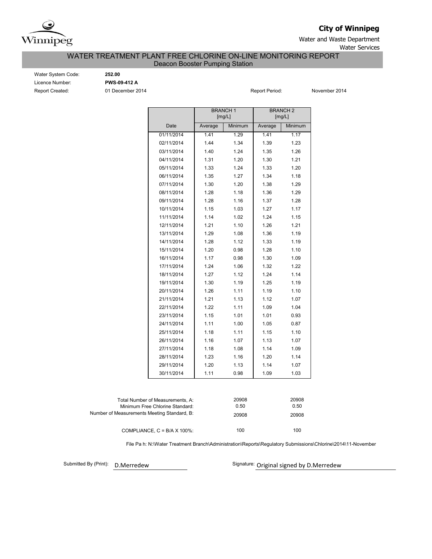

**City of Winnipeg**

Water and Waste Department

### Water Services

### Deacon Booster Pumping Station WATER TREATMENT PLANT FREE CHLORINE ON-LINE MONITORING REPORT

Water System Code: **252.00** Licence Number: **PWS-09-412 A** Report Created: 01 December 2014 **Report Period:** November 2014

|            |         | <b>BRANCH1</b><br>[mg/L] |         | <b>BRANCH 2</b><br>[mg/L] |  |  |
|------------|---------|--------------------------|---------|---------------------------|--|--|
| Date       | Average | Minimum                  | Average | Minimum                   |  |  |
| 01/11/2014 | 1.41    | 1.29                     | 1.41    | 1.17                      |  |  |
| 02/11/2014 | 1.44    | 1.34                     | 1.39    | 1.23                      |  |  |
| 03/11/2014 | 1.40    | 1.24                     | 1.35    | 1.26                      |  |  |
| 04/11/2014 | 1.31    | 1.20                     | 1.30    | 1.21                      |  |  |
| 05/11/2014 | 1.33    | 1.24                     | 1.33    | 1.20                      |  |  |
| 06/11/2014 | 1.35    | 1.27                     | 1.34    | 1.18                      |  |  |
| 07/11/2014 | 1.30    | 1.20                     | 1.38    | 1.29                      |  |  |
| 08/11/2014 | 1.28    | 1.18                     | 1.36    | 1.29                      |  |  |
| 09/11/2014 | 1.28    | 1.16                     | 1.37    | 1.28                      |  |  |
| 10/11/2014 | 1.15    | 1.03                     | 1.27    | 1.17                      |  |  |
| 11/11/2014 | 1.14    | 1.02                     | 1.24    | 1.15                      |  |  |
| 12/11/2014 | 1.21    | 1.10                     | 1.26    | 1.21                      |  |  |
| 13/11/2014 | 1.29    | 1.08                     | 1.36    | 1.19                      |  |  |
| 14/11/2014 | 1.28    | 1.12                     | 1.33    | 1.19                      |  |  |
| 15/11/2014 | 1.20    | 0.98                     | 1.28    | 1.10                      |  |  |
| 16/11/2014 | 1.17    | 0.98                     | 1.30    | 1.09                      |  |  |
| 17/11/2014 | 1.24    | 1.06                     | 1.32    | 1.22                      |  |  |
| 18/11/2014 | 1.27    | 1.12                     | 1.24    | 1.14                      |  |  |
| 19/11/2014 | 1.30    | 1.19                     | 1.25    | 1.19                      |  |  |
| 20/11/2014 | 1.26    | 1.11                     | 1.19    | 1.10                      |  |  |
| 21/11/2014 | 1.21    | 1.13                     | 1.12    | 1.07                      |  |  |
| 22/11/2014 | 1.22    | 1.11                     | 1.09    | 1.04                      |  |  |
| 23/11/2014 | 1.15    | 1.01                     | 1.01    | 0.93                      |  |  |
| 24/11/2014 | 1.11    | 1.00                     | 1.05    | 0.87                      |  |  |
| 25/11/2014 | 1.18    | 1.11                     | 1.15    | 1.10                      |  |  |
| 26/11/2014 | 1.16    | 1.07                     | 1.13    | 1.07                      |  |  |
| 27/11/2014 | 1.18    | 1.08                     | 1.14    | 1.09                      |  |  |
| 28/11/2014 | 1.23    | 1.16                     | 1.20    | 1.14                      |  |  |
| 29/11/2014 | 1.20    | 1.13                     | 1.14    | 1.07                      |  |  |
| 30/11/2014 | 1.11    | 0.98                     | 1.09    | 1.03                      |  |  |
|            |         |                          |         |                           |  |  |

| Total Number of Measurements. A:<br>Minimum Free Chlorine Standard: | 20908<br>0.50 | 20908<br>0.50 |
|---------------------------------------------------------------------|---------------|---------------|
| Number of Measurements Meeting Standard, B:                         | 20908         | 20908         |
| COMPLIANCE, $C = B/A \times 100\%$ :                                | 100           | 100           |

File Pa h: N:\Water Treatment Branch\Administration\Reports\Regulatory Submissions\Chlorine\2014\11-November

Submitted By (Print): D. Merredew

Signature: Original signed by D.Merredew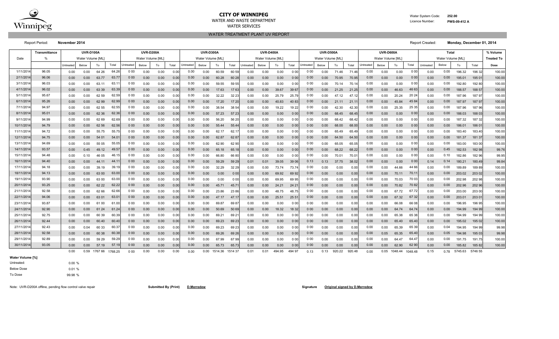

## **CITY OF WINNIPEG** Water System Code: 252.00

WATER AND WASTE DEPARTMENT **Licence Number: PWS-09-412 A** 

WATER TREATMENT PLANT UV REPORT WATER SERVICES

Report Period: **November 2014** Report Created: **Monday, December 01, 2014**

|            | Transmittance | <b>UVR-D100A</b><br><b>UVR-D200A</b> |                   |       |       |           | UVR-D300A<br><b>UVR-D400A</b> |      |       |           |                   |       |                | <b>UVR-D500A</b> |                  |       |                | UVR-D600A |                   |                   |       | Total            |                   |       |                | % Volume  |                   |        |        |                   |
|------------|---------------|--------------------------------------|-------------------|-------|-------|-----------|-------------------------------|------|-------|-----------|-------------------|-------|----------------|------------------|------------------|-------|----------------|-----------|-------------------|-------------------|-------|------------------|-------------------|-------|----------------|-----------|-------------------|--------|--------|-------------------|
| Date       |               |                                      | Water Volume [ML] |       |       |           | Water Volume [ML]             |      |       |           | Water Volume [ML] |       |                |                  | Water Volume IML |       |                |           | Water Volume [ML] |                   |       |                  | Water Volume [ML] |       |                |           | Water Volume [ML] |        |        | <b>Treated To</b> |
|            |               | Untreated                            | Below             | To    | Total | Untreated | Below                         | To   | Total | Untreated | Below             | To    | Total          | Untreated        | Below            | To    | Total          | Untreated | Below             | To                | Total | <b>Untreated</b> | Below             | To    | Total          | Untreated | Below             | To     | Total  | Dose              |
| 1/11/2014  | 96.05         | 0.00                                 | 0.00              | 64 26 | 64.26 | 000       | 0.00                          | 0.00 | 0.0   | 0.00      | 0.00              | 60.59 | 60 59          | 0.00             | 0.00             | 0.00  | 0 <sub>0</sub> | 000       | 0.00              | 71.46             | 71.46 | 0.00             | 0.00              | 0.00  | 00             | 0.00      | 0.00              | 196.32 | 196 32 | 100.00            |
| 2/11/2014  | 96.06         | 0.00                                 | 0.00              | 63.77 | 63.7  | 000       | 0.00                          | 0.00 | 0.0   | 0.00      | 0.00              | 60.28 | 60 28          | 0.00             | 0.00             | 0.00  | 0 <sub>0</sub> | 000       | 0.00              | 70.95             | 70.95 | 0.00             | 0.00              | 0.00  | 00             | 0.00      | 0.00              | 195.01 | 1950   | 100.00            |
| 3/11/2014  | 96.03         | 0.00                                 | 0.00              | 63.11 | 63.7  | 0 00      | 0.00                          | 0.00 | 0.0   | 0.00      | 0.00              | 59.55 | 59 55          | 0.00             | 0.00             | 0.00  | 0 <sup>0</sup> | 0 0 0     | 0.00              | 70.14             | 70.1  | 0.00             | 0.00              | 0.00  | 0 <sup>0</sup> | 0.00      | 0.00              | 192.80 | 192 80 | 100.00            |
| 4/11/2014  | 96.02         | 0.00                                 | 0.00              | 63 39 | 63.3  | 000       | 0.00                          | 0.00 | 0.01  | 0.00      | 0.00              | 17.63 | 1763           | 0.00             | 0.00             | 39.67 | 39 6           | 000       | 0.00              | 21.25             | 21.25 | 0.00             | 0.00              | 46.63 | 46 6           | 0.00      | 0.00              | 188.57 | 188 57 | 100.00            |
| 5/11/2014  | 95.67         | 0.00                                 | 0.00              | 62 59 | 62.5  | 0 00      | 0.00                          | 0.00 | 0.0   | 0.00      | 0.00              | 32.22 | 32 23          | $0.00\,$         | 0.00             | 25.79 | 25.79          | 0 00      | 0.00              | 47.               | 47.12 | 0.00             | 0.00              | 20.24 | 202            | 0.00      | 0.00              | 187.96 | 187 9. | 100.00            |
| 6/11/2014  | 95.26         | 0.00                                 | 0.00              | 62 99 | 62.9  | 000       | 0.00                          | 0.00 | 0.01  | 0.00      | 0.00              | 17.20 | 17 20          | 0.00             | 0.00             | 40.83 | 40 83          | 000       | 0.00              | 21.1'             | 21.1  | 0.00             | 0.00              | 45.84 | 45 8           | 0.00      | 0.00              | 187.97 | 187 97 | 100.00            |
| 7/11/2014  | 94.97         | 0.00                                 | 0.00              | 62 55 | 62.5  | 0.00      | 0.00                          | 0.00 | 0.0   | 0.00      | 0.00              | 38.54 | 38 5           | 0.00             | 0.00             | 19.22 | 19 22          | 0 0 0     | 0.00              | 42.30             | 42.3  | 0.00             | 0.00              | 25.35 | 25 35          | 0.00      | 0.00              | 187.96 | 187 96 | 100.00            |
| 8/11/2014  | 95.01         | 0.00                                 | 0.00              | 62 36 | 62.3  | 000       | 0.00                          | 0.00 | 0.0   | 0.00      | 0.00              | 57.23 | 57 23          | 0.00             | 0.00             | 0.00  | 0 <sup>0</sup> | 000       | 0.00              | 68.45             | 68.45 | 0.00             | 0.00              | 0.00  | 00             | 0.00      | 0.00              | 188.03 | 188 03 | 100.00            |
| 9/11/2014  | 94.99         | 0.00                                 | 0.00              | 62 69 | 62.6  | 000       | 0.00                          | 0.00 | 0.0   | 0.00      | 0.00              | 56.20 | 56 20          | $0.00\,$         | 0.00             | 0.00  | 000            | 0 0 0     | 0.00              | 68.42             | 68.42 | 0.00             | 0.00              | 0.00  | 000            | 0.00      | 0.00              | 187.32 | 187 32 | 100.00            |
| 10/11/2014 | 94.79         | 0.00                                 | 0.00              | 62 56 | 62.5  | 000       | 0.00                          | 0.00 | 0.01  | 0.00      | 0.00              | 55.44 | 55.44          | 0.00             | 0.00             | 0.00  | 0 <sub>0</sub> | 000       | 0.00              | 68.00             | 68.00 | 0.00             | 0.00              | 0.00  | 00             | 0.00      | 0.00              | 186.01 | 1860   | 100.00            |
| 11/11/2014 | 94.72         | 0.00                                 | 0.00              | 55.75 | 55.7  | 000       | 0.00                          | 0.00 | 0.0   | 0.00      | 0.00              | 62.17 | 62.1           | 0.00             | 0.00             | 0.00  | 000            | 0 0 0     | 0.00              | 65.49             | 65.49 | 0.00             | 0.00              | 0.00  | 00             | 0.00      | 0.00              | 183.40 | 183.40 | 100.00            |
| 12/11/2014 | 94.75         | 0.00                                 | 0.00              | 54 01 | 54.0  | 000       | 0.00                          | 0.00 | 0.0   | 0.00      | 0.00              | 62.87 | 6287           | 0.00             | 0.00             | 0.00  | 000            | 000       | 0.00              | 64.50             | 64.50 | 0.00             | 0.00              | 0.00  | 0 <sub>0</sub> | 0.00      | 0.00              | 181.37 | 181 37 | 100.00            |
| 13/11/2014 | 94.69         | 0.00                                 | 0.00              | 55 05 | 55.0  | 0 00      | 0.00                          | 0.00 | 0.0   | 0.00      | 0.00              | 62.90 | 62 90          | 0.00             | 0.00             | 0.00  | 000            | 0 0 0     | 0.00              | 65.05             | 65.05 | 0.00             | 0.00              | 0.00  | 00             | 0.00      | 0.00              | 183.00 | 183 00 | 100.00            |
| 14/11/2014 | 93.57         | 0.00                                 | 0.45              | 49.12 | 49.5  | 000       | 0.00                          | 0.00 | 0.0   | 0.00      | 0.00              | 65.18 | 65.1           | 0.00             | 0.00             | 0.00  | 0 <sub>0</sub> | 000       | 0.00              | 68.22             | 68.22 | 0.00             | 0.00              | 0.00  | 00             | 0.00      | 0.45              | 182.53 | 182 98 | 99.76             |
| 15/11/201  | 94.48         | 0.00                                 | 0.10              | 46 05 | 46.1  | 0 0 0     | 0.00                          | 0.00 | 0.0   | 0.00      | 0.00              | 66.80 | 6680           | 0.00             | 0.00             | 0.00  | 0 <sup>0</sup> | 0 00      | 0.00              | 70.0 <sup>1</sup> | 70.0  | 0.00             | 0.00              | 0.00  | 00             | 0.00      | 0.10              | 182.86 | 182 96 | 99.95             |
| 16/11/2014 | 94.40         | 0.00                                 | 0.00              | 44.11 | 44.1  | 000       | 0.00                          | 0.00 | 0.0   | 0.00      | 0.00              | 59.29 | 59 29          | 0.01             | 0.01             | 39.05 | 39 06          | 0.13      | 0.13              | 37.75             | 38.02 | 0.00             | 0.00              | 0.00  | 00             | 0.14      | 0.14              | 180.21 | 180.49 | 99.84             |
| 17/11/2014 | 94.18         | 0.00                                 | 0.00              | 39.19 | 39.7  | 0 0 0     | 0.00                          | 0.00 | 0.0   | 0.00      | 0.00              | 32.29 | 32 29          | 0.00             | 0.00             | 73.74 | 73.74          | 0 0 0     | 0.00              | 0.00              | 0.00  | 0.00             | 0.00              | 44.66 | 44 66          | 0.00      | 0.00              | 189.89 | 18989  | 100.00            |
| 18/11/2014 | 94.13         | 0.00                                 | 0.00              | 63 00 | 63.0  | 000       | 0.00                          | 0.00 | 0.0   | 0.00      | 0.00              | 0.00  | 000            | 0.00             | 0.00             | 69.92 | 69 92          | 000       | 0.00              | 0.00              | 0.00  | 0.00             | 0.00              | 70.11 | 70.1           | 0.00      | 0.00              | 203.02 | 203 02 | 100.00            |
| 19/11/2014 | 93.90         | 0.00                                 | 0.00              | 63 00 | 63.0  | 0 0 0     | 0.00                          | 0.00 | 0.0   | 0.00      | 0.00              | 0.00  | 0 <sup>0</sup> | 0.00             | 0.00             | 69.95 | 69 95          | 0 0 0     | 0.00              | 0.00              | 0.00  | 0.00             | 0.00              | 70.03 | 70 0           | 0.00      | 0.00              | 202.98 | 202 98 | 100.00            |
| 20/11/2014 | 93.25         | 0.00                                 | 0.00              | 62 22 | 62.21 | 000       | 0.00                          | 0.00 | 0.01  | 0.00      | 0.00              | 45.7' | 45.7           | 0.00             | 0.00             | 24.21 | 242            | 000       | 0.00              | 0.00              | 0.00  | 0.00             | 0.00              | 70.82 | 70 8           | 0.00      | 0.00              | 202.96 | 202 96 | 100.00            |
| 21/11/2014 | 92.58         | 0.00                                 | 0.00              | 62 66 | 62.6  | 0 00      | 0.00                          | 0.00 | 0.0   | 0.00      | 0.00              | 23.86 | 23 86          | 0.00             | 0.00             | 48.75 | 48.7           | 0 0 0     | 0.00              | 0.00              | 0.00  | 0.00             | 0.00              | 67.72 | 67.7           | 0.00      | 0.00              | 203.00 | 203 00 | 100.00            |
| 22/11/2014 | 94.06         | 0.00                                 | 0.00              | 6301  | 63.0  | 000       | 0.00                          | 0.00 | 0.0   | 0.00      | 0.00              | 47.17 | 47.1           | 0.00             | 0.00             | 25.51 | 255            | 000       | 0.00              | 0.00              | 0.00  | 0.00             | 0.00              | 67.32 | 6732           | 0.00      | 0.00              | 203.01 | 2030   | 100.00            |
| 23/11/2014 | 93.87         | 0.00                                 | 0.00              | 61 00 | 61.0  | 0 00      | 0.00                          | 0.00 | 0.0   | 0.00      | 0.00              | 69.87 | 698            | $0.00\,$         | 0.00             | 0.00  | 000            | 0 00      | 0.00              | 0.00              | 0.00  | 0.00             | 0.00              | 66.08 | 660            | 0.00      | 0.00              | 196.95 | 196 95 | 100.00            |
| 24/11/2014 | 92.90         | 0.00                                 | 0.00              | 61 24 | 61.2  | 000       | 0.00                          | 0.00 | 0.01  | 0.00      | 0.00              | 50.69 | 50 69          | 0.00             | 0.00             | 18.32 | 18 32          | 000       | 0.00              | 0.00              | 0.00  | 0.00             | 0.00              | 64.74 | 64.7           | 0.00      | 0.00              | 194.99 | 194 99 | 100.00            |
| 25/11/2014 | 92.75         | 0.00                                 | 0.00              | 60 39 | 60.3  | 000       | 0.00                          | 0.00 | 0.0   | 0.00      | 0.00              | 69.21 | 692            | 0.00             | 0.00             | 0.00  | 0 <sup>0</sup> | 0 0 0     | 0.00              | 0.00              | 0.0(  | 0.00             | 0.00              | 65.38 | 65 3           | 0.00      | 0.00              | 194.99 | 194 99 | 100.00            |
| 26/11/2014 | 92.44         | 0.00                                 | 0.00              | 60.40 | 60.4  | 000       | 0.00                          | 0.00 | 0.01  | 0.00      | 0.00              | 69.23 | 69 23          | 0.00             | 0.00             | 0.00  | 0 <sub>0</sub> | 000       | 0.00              | 0.00              | 0.00  | 0.00             | 0.00              | 65.40 | 65.4           | 0.00      | 0.00              | 195.02 | 195 02 | 100.00            |
| 27/11/2014 | 92.43         | 0.00                                 | 0.04              | 60 33 | 60.3  | 0 0 0     | 0.00                          | 0.00 | 0.0   | 0.00      | 0.00              | 69.23 | 69 23          | $0.00\,$         | 0.00             | 0.00  | 000            | 0 0 0     | 0.00              | 0.00              | 0.00  | 0.00             | 0.00              | 65.39 | 6539           | 0.00      | 0.04              | 194.95 | 194 99 | 99.98             |
| 28/11/2014 | 92.58         | 0.00                                 | 0.00              | 60 38 | 60.3  | 000       | 0.00                          | 0.00 | 0.01  | 0.00      | 0.00              | 69.26 | 69 26          | 0.00             | 0.00             | 0.00  | 0 <sub>0</sub> | 000       | 0.00              | 0.00              | 0.00  | 0.00             | 0.05              | 65.35 | 65.4           | 0.00      | 0.05              | 194.98 | 195 03 | 99.98             |
| 29/11/2014 | 92.89         | 0.00                                 | 0.00              | 59 29 | 59.2  | 0 00      | 0.00                          | 0.00 | 0.0   | 0.00      | 0.00              | 67.99 | 6799           | 0.00             | 0.00             | 0.00  | 0.00           | 0 0 0     | 0.00              | 0.00              | 0.00  | 0.00             | 0.00              | 64.47 | 64.4           | 0.00      | 0.00              | 191.75 | 191.75 | 100.00            |
| 30/11/2014 | 93.05         | 0.00                                 | 0.00              | 57.19 | 57.1  | 000       | 0.00                          | 0.00 | 0.01  | 0.00      | 0.00              | 65.73 | 65.73          | 0.00             | 0.00             | 0.00  | 000            | 000       | 0.00              | 0.00              | 0.00  | 0.00             | 0.00              | 62.90 | 62 90          | 0.00      | 0.00              | 185.82 | 185 82 | 100.00            |

0.00 0.59 1767 66 <sub>1</sub>768.25 0 00 0.00 0.00 0.00 0.00 0.00 1514.36 1514.37 0.01 0.01 494.95 494 97 0.13 0.13 920.22 920.48 0.00 0.05 1048.44 <sub>1</sub>048.48 0.15 0.78 5746.63 5746.55

**Water Volume [%]**

0.00 % 0.01 % 99.98 % To Dose Below Dose Untreated:

Note: UVR-D200A offline, pending flow control valve repair **Submitted By Channel Control of Control valve repair** Submitted By Channel By Channel By Channel D.Merredew **Submitted By Channel By Channel Control of Control an**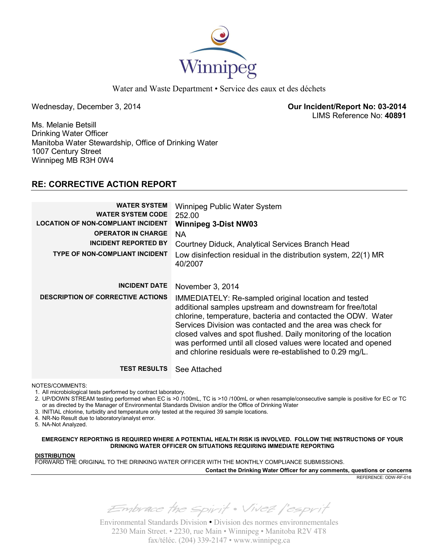

Water and Waste Department • Service des eaux et des déchets

Wednesday, December 3, 2014 **Our Incident/Report No: 03-2014**  LIMS Reference No: **40891**

Ms. Melanie Betsill Drinking Water Officer Manitoba Water Stewardship, Office of Drinking Water 1007 Century Street Winnipeg MB R3H 0W4

## **RE: CORRECTIVE ACTION REPORT**

| <b>WATER SYSTEM</b><br><b>WATER SYSTEM CODE</b><br><b>LOCATION OF NON-COMPLIANT INCIDENT</b><br><b>OPERATOR IN CHARGE</b><br><b>INCIDENT REPORTED BY</b><br><b>TYPE OF NON-COMPLIANT INCIDENT</b> | Winnipeg Public Water System<br>252.00<br><b>Winnipeg 3-Dist NW03</b><br><b>NA</b><br>Courtney Diduck, Analytical Services Branch Head<br>Low disinfection residual in the distribution system, 22(1) MR<br>40/2007                                                                                                                                                                                                                              |
|---------------------------------------------------------------------------------------------------------------------------------------------------------------------------------------------------|--------------------------------------------------------------------------------------------------------------------------------------------------------------------------------------------------------------------------------------------------------------------------------------------------------------------------------------------------------------------------------------------------------------------------------------------------|
| <b>INCIDENT DATE</b>                                                                                                                                                                              | November 3, 2014                                                                                                                                                                                                                                                                                                                                                                                                                                 |
| <b>DESCRIPTION OF CORRECTIVE ACTIONS</b>                                                                                                                                                          | IMMEDIATELY: Re-sampled original location and tested<br>additional samples upstream and downstream for free/total<br>chlorine, temperature, bacteria and contacted the ODW. Water<br>Services Division was contacted and the area was check for<br>closed valves and spot flushed. Daily monitoring of the location<br>was performed until all closed values were located and opened<br>and chlorine residuals were re-established to 0.29 mg/L. |
| <b>TEST RESULTS</b>                                                                                                                                                                               | See Attached                                                                                                                                                                                                                                                                                                                                                                                                                                     |

NOTES/COMMENTS:

1. All microbiological tests performed by contract laboratory.

2. UP/DOWN STREAM testing performed when EC is >0 /100mL, TC is >10 /100mL or when resample/consecutive sample is positive for EC or TC or as directed by the Manager of Environmental Standards Division and/or the Office of Drinking Water

- 3. INITIAL chlorine, turbidity and temperature only tested at the required 39 sample locations.
- 4. NR-No Result due to laboratory/analyst error.

5. NA-Not Analyzed.

**EMERGENCY REPORTING IS REQUIRED WHERE A POTENTIAL HEALTH RISK IS INVOLVED. FOLLOW THE INSTRUCTIONS OF YOUR DRINKING WATER OFFICER ON SITUATIONS REQUIRING IMMEDIATE REPORTING**

#### **DISTRIBUTION**

FORWARD THE ORIGINAL TO THE DRINKING WATER OFFICER WITH THE MONTHLY COMPLIANCE SUBMISSIONS.

**Contact the Drinking Water Officer for any comments, questions or concerns**

REFERENCE: ODW-RF-016

Embrace the spirit . Vivez l'esprit

Environmental Standards Division • Division des normes environnementales 2230 Main Street. • 2230, rue Main • Winnipeg • Manitoba R2V 4T8 fax/téléc. (204) 339-2147 • www.winnipeg.ca